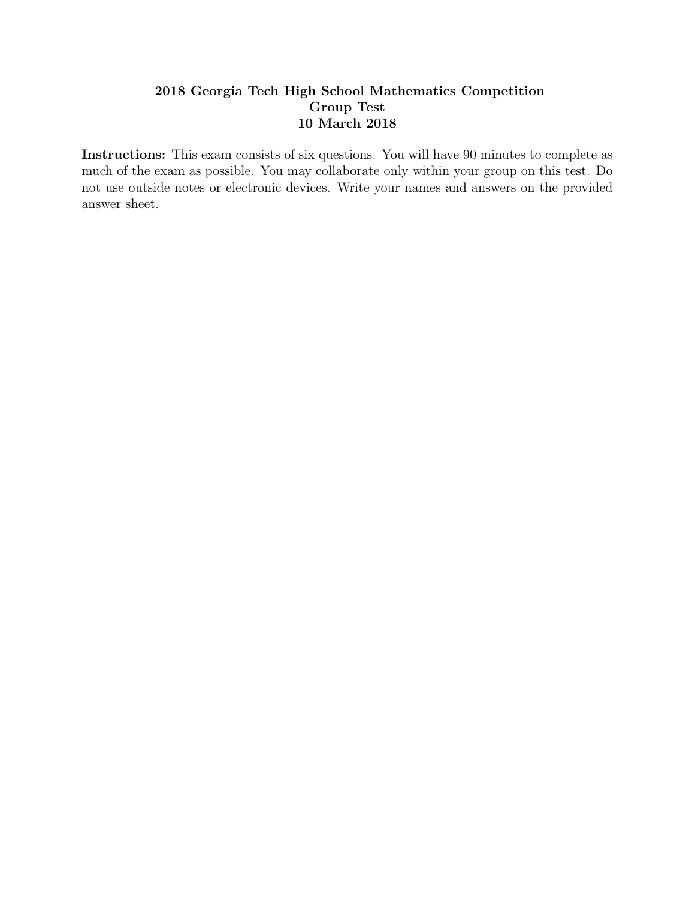## 2018 Georgia Tech High School Mathematics Competition Group Test 10 March 2018

Instructions: This exam consists of six questions. You will have 90 minutes to complete as much of the exam as possible. You may collaborate only within your group on this test. Do not use outside notes or electronic devices. Write your names and answers on the provided answer sheet.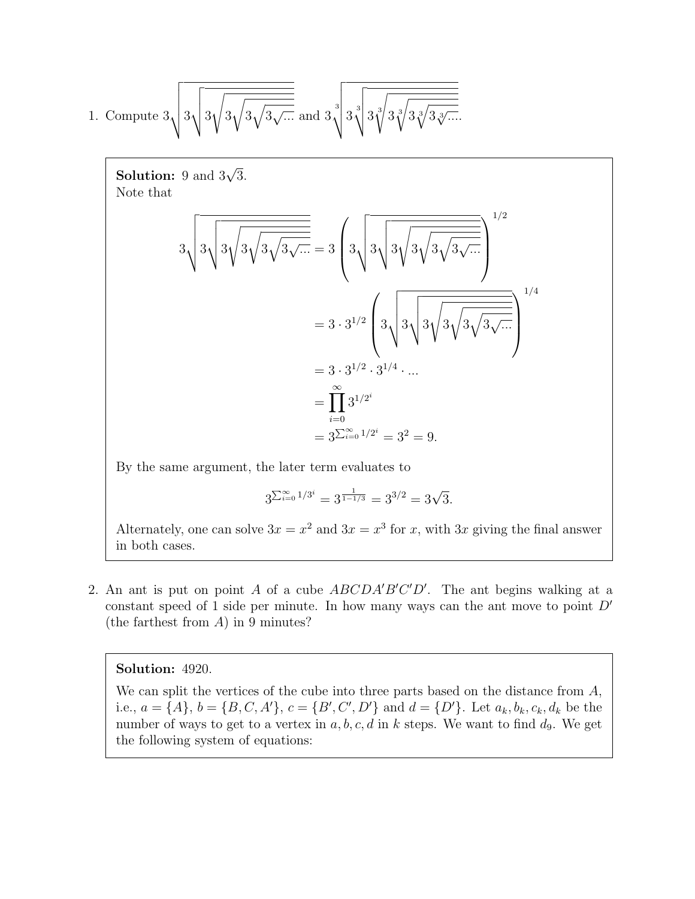1. Compute 3 vuuut3 vuut3 s 3 r 3 q 3 <sup>√</sup>... and 3 3 vuuut3 3 vuut3 3 s 3 3 r 3 3 q 3 <sup>√</sup><sup>3</sup> ....

**Solution:** 9 and  $3\sqrt{3}$ . Note that

3 vuuut3 vuut3 s 3 r 3 q 3 <sup>√</sup>... = 3 3 vuuut3 vuut3 s 3 r 3 q 3 <sup>√</sup>... 1/2 = 3 · 3 1/2 3 vuuut3 vuut3 s 3 r 3 q 3 <sup>√</sup>... 1/4 = 3 · 3 1/2 · 3 1/4 · ... = Y∞ i=0 3 1/2 i = 3 P<sup>∞</sup> <sup>i</sup>=0 1/2 i = 3<sup>2</sup> = 9.

By the same argument, the later term evaluates to

$$
3^{\sum_{i=0}^{\infty} 1/3^i} = 3^{\frac{1}{1-1/3}} = 3^{3/2} = 3\sqrt{3}.
$$

Alternately, one can solve  $3x = x^2$  and  $3x = x^3$  for x, with 3x giving the final answer in both cases.

2. An ant is put on point A of a cube  $ABCDA'B'C'D'$ . The ant begins walking at a constant speed of 1 side per minute. In how many ways can the ant move to point  $D'$ (the farthest from A) in 9 minutes?

## Solution: 4920.

We can split the vertices of the cube into three parts based on the distance from A, i.e.,  $a = \{A\}, b = \{B, C, A'\}, c = \{B', C', D'\}$  and  $d = \{D'\}.$  Let  $a_k, b_k, c_k, d_k$  be the number of ways to get to a vertex in  $a, b, c, d$  in k steps. We want to find  $d<sub>9</sub>$ . We get the following system of equations: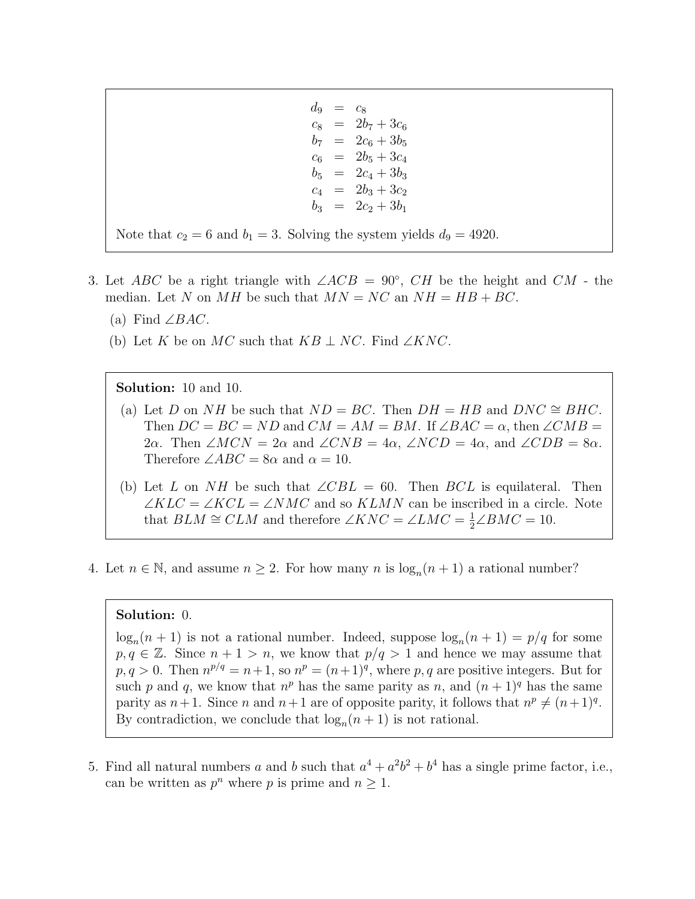$d_9 = c_8$  $c_8 = 2b_7 + 3c_6$  $b_7 = 2c_6 + 3b_5$  $c_6 = 2b_5 + 3c_4$  $b_5 = 2c_4 + 3b_3$  $c_4 = 2b_3 + 3c_2$  $b_3 = 2c_2 + 3b_1$ 

Note that  $c_2 = 6$  and  $b_1 = 3$ . Solving the system yields  $d_9 = 4920$ .

- 3. Let ABC be a right triangle with  $\angle ACB = 90^{\circ}$ , CH be the height and CM the median. Let N on MH be such that  $MN = NC$  an  $NH = HB + BC$ .
	- (a) Find  $\angle BAC$ .
	- (b) Let K be on MC such that  $KB \perp NC$ . Find ∠KNC.

Solution: 10 and 10.

- (a) Let D on NH be such that  $ND = BC$ . Then  $DH = HB$  and  $DNC \cong BHC$ . Then  $DC = BC = ND$  and  $CM = AM = BM$ . If  $\angle BAC = \alpha$ , then  $\angle CMB =$ 2α. Then  $\angle MCN = 2\alpha$  and  $\angle CNB = 4\alpha$ ,  $\angle NCD = 4\alpha$ , and  $\angle CDB = 8\alpha$ . Therefore  $\angle ABC = 8\alpha$  and  $\alpha = 10$ .
- (b) Let L on NH be such that  $\angle CBL = 60$ . Then BCL is equilateral. Then  $\angle KLC = \angle KCL = \angle NMC$  and so  $KLMN$  can be inscribed in a circle. Note that  $BLM \cong CLM$  and therefore  $\angle KNC = \angle LMC = \frac{1}{2}\angle BMC = 10$ .
- 4. Let  $n \in \mathbb{N}$ , and assume  $n \geq 2$ . For how many n is  $\log_n(n+1)$  a rational number?

## Solution: 0.

 $log_n(n+1)$  is not a rational number. Indeed, suppose  $log_n(n+1) = p/q$  for some  $p, q \in \mathbb{Z}$ . Since  $n + 1 > n$ , we know that  $p/q > 1$  and hence we may assume that  $p, q > 0$ . Then  $n^{p/q} = n+1$ , so  $n^p = (n+1)^q$ , where p, q are positive integers. But for such p and q, we know that  $n^p$  has the same parity as n, and  $(n+1)^q$  has the same parity as  $n+1$ . Since n and  $n+1$  are of opposite parity, it follows that  $n^p \neq (n+1)^q$ . By contradiction, we conclude that  $\log_n(n+1)$  is not rational.

5. Find all natural numbers a and b such that  $a^4 + a^2b^2 + b^4$  has a single prime factor, i.e., can be written as  $p^n$  where p is prime and  $n \geq 1$ .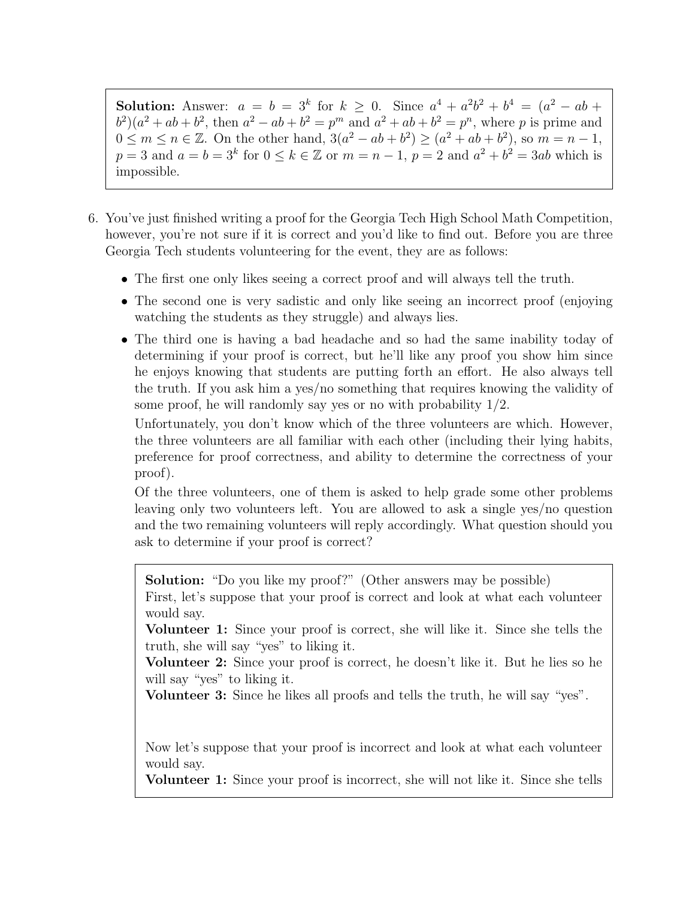**Solution:** Answer:  $a = b = 3^k$  for  $k \ge 0$ . Since  $a^4 + a^2b^2 + b^4 = (a^2 - ab + b^4)$  $b^2(a^2+ab+b^2,$  then  $a^2-ab+b^2=p^m$  and  $a^2+ab+b^2=p^n$ , where p is prime and  $0 \le m \le n \in \mathbb{Z}$ . On the other hand,  $3(a^2 - ab + b^2) \ge (a^2 + ab + b^2)$ , so  $m = n - 1$ ,  $p = 3$  and  $a = b = 3<sup>k</sup>$  for  $0 \le k \in \mathbb{Z}$  or  $m = n - 1$ ,  $p = 2$  and  $a<sup>2</sup> + b<sup>2</sup> = 3ab$  which is impossible.

- 6. You've just finished writing a proof for the Georgia Tech High School Math Competition, however, you're not sure if it is correct and you'd like to find out. Before you are three Georgia Tech students volunteering for the event, they are as follows:
	- The first one only likes seeing a correct proof and will always tell the truth.
	- The second one is very sadistic and only like seeing an incorrect proof (enjoying watching the students as they struggle) and always lies.
	- The third one is having a bad headache and so had the same inability today of determining if your proof is correct, but he'll like any proof you show him since he enjoys knowing that students are putting forth an effort. He also always tell the truth. If you ask him a yes/no something that requires knowing the validity of some proof, he will randomly say yes or no with probability 1/2.

Unfortunately, you don't know which of the three volunteers are which. However, the three volunteers are all familiar with each other (including their lying habits, preference for proof correctness, and ability to determine the correctness of your proof).

Of the three volunteers, one of them is asked to help grade some other problems leaving only two volunteers left. You are allowed to ask a single yes/no question and the two remaining volunteers will reply accordingly. What question should you ask to determine if your proof is correct?

Solution: "Do you like my proof?" (Other answers may be possible)

First, let's suppose that your proof is correct and look at what each volunteer would say.

Volunteer 1: Since your proof is correct, she will like it. Since she tells the truth, she will say "yes" to liking it.

Volunteer 2: Since your proof is correct, he doesn't like it. But he lies so he will say "yes" to liking it.

Volunteer 3: Since he likes all proofs and tells the truth, he will say "yes".

Now let's suppose that your proof is incorrect and look at what each volunteer would say.

Volunteer 1: Since your proof is incorrect, she will not like it. Since she tells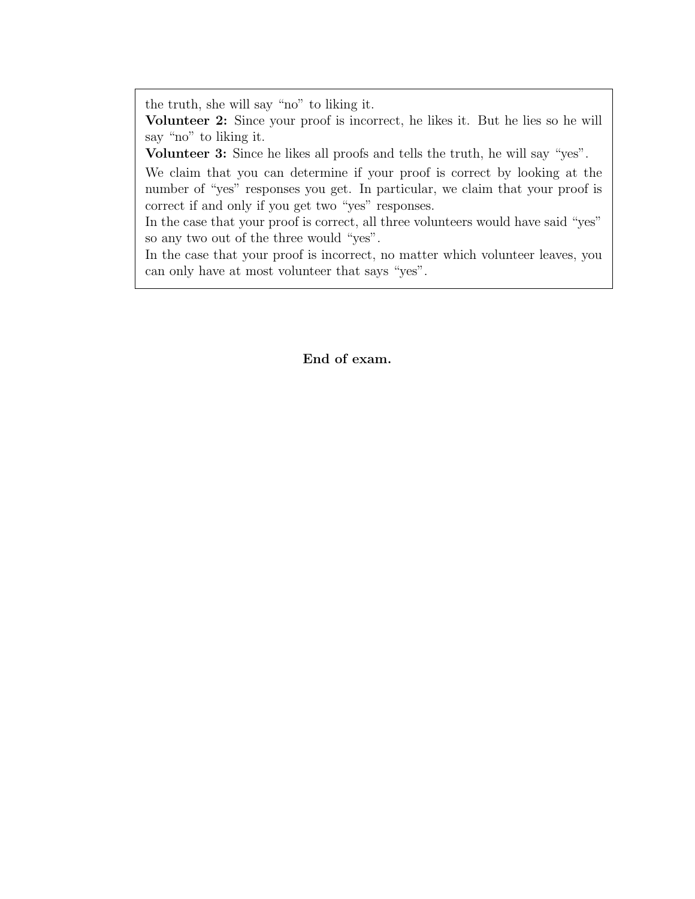the truth, she will say "no" to liking it.

Volunteer 2: Since your proof is incorrect, he likes it. But he lies so he will say "no" to liking it.

Volunteer 3: Since he likes all proofs and tells the truth, he will say "yes".

We claim that you can determine if your proof is correct by looking at the number of "yes" responses you get. In particular, we claim that your proof is correct if and only if you get two "yes" responses.

In the case that your proof is correct, all three volunteers would have said "yes" so any two out of the three would "yes".

In the case that your proof is incorrect, no matter which volunteer leaves, you can only have at most volunteer that says "yes".

End of exam.